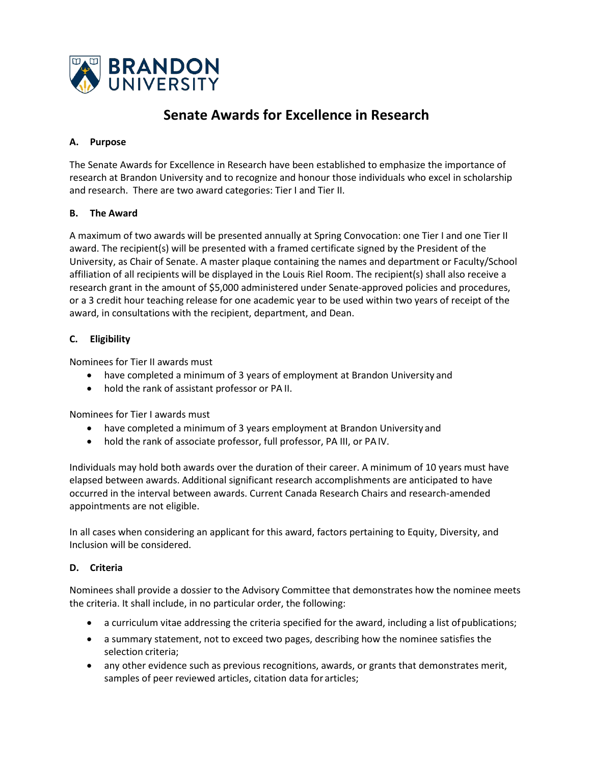

# **Senate Awards for Excellence in Research**

#### **A. Purpose**

The Senate Awards for Excellence in Research have been established to emphasize the importance of research at Brandon University and to recognize and honour those individuals who excel in scholarship and research. There are two award categories: Tier I and Tier II.

#### **B. The Award**

A maximum of two awards will be presented annually at Spring Convocation: one Tier I and one Tier II award. The recipient(s) will be presented with a framed certificate signed by the President of the University, as Chair of Senate. A master plaque containing the names and department or Faculty/School affiliation of all recipients will be displayed in the Louis Riel Room. The recipient(s) shall also receive a research grant in the amount of \$5,000 administered under Senate-approved policies and procedures, or a 3 credit hour teaching release for one academic year to be used within two years of receipt of the award, in consultations with the recipient, department, and Dean.

## **C. Eligibility**

Nominees for Tier II awards must

- have completed a minimum of 3 years of employment at Brandon University and
- hold the rank of assistant professor or PA II.

Nominees for Tier I awards must

- have completed a minimum of 3 years employment at Brandon University and
- hold the rank of associate professor, full professor, PA III, or PAIV.

Individuals may hold both awards over the duration of their career. A minimum of 10 years must have elapsed between awards. Additional significant research accomplishments are anticipated to have occurred in the interval between awards. Current Canada Research Chairs and research-amended appointments are not eligible.

In all cases when considering an applicant for this award, factors pertaining to Equity, Diversity, and Inclusion will be considered.

#### **D. Criteria**

Nominees shall provide a dossier to the Advisory Committee that demonstrates how the nominee meets the criteria. It shall include, in no particular order, the following:

- a curriculum vitae addressing the criteria specified for the award, including a list ofpublications;
- a summary statement, not to exceed two pages, describing how the nominee satisfies the selection criteria;
- any other evidence such as previous recognitions, awards, or grants that demonstrates merit, samples of peer reviewed articles, citation data for articles;